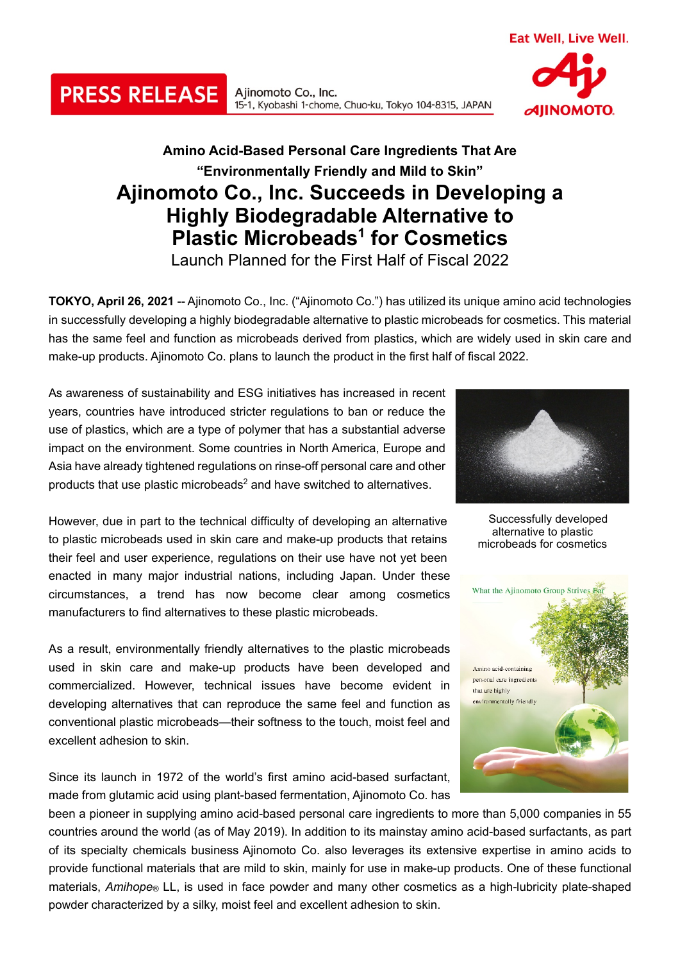Ajinomoto Co., Inc. 15-1, Kyobashi 1-chome, Chuo-ku, Tokyo 104-8315, JAPAN

## **Amino Acid-Based Personal Care Ingredients That Are "Environmentally Friendly and Mild to Skin" Ajinomoto Co., Inc. Succeeds in Developing a Highly Biodegradable Alternative to Plastic Microbeads1 for Cosmetics**

Launch Planned for the First Half of Fiscal 2022

**TOKYO, April 26, 2021** -- Ajinomoto Co., Inc. ("Ajinomoto Co.") has utilized its unique amino acid technologies in successfully developing a highly biodegradable alternative to plastic microbeads for cosmetics. This material has the same feel and function as microbeads derived from plastics, which are widely used in skin care and make-up products. Ajinomoto Co. plans to launch the product in the first half of fiscal 2022.

As awareness of sustainability and ESG initiatives has increased in recent years, countries have introduced stricter regulations to ban or reduce the use of plastics, which are a type of polymer that has a substantial adverse impact on the environment. Some countries in North America, Europe and Asia have already tightened regulations on rinse-off personal care and other products that use plastic microbeads2 and have switched to alternatives.

However, due in part to the technical difficulty of developing an alternative to plastic microbeads used in skin care and make-up products that retains their feel and user experience, regulations on their use have not yet been enacted in many major industrial nations, including Japan. Under these circumstances, a trend has now become clear among cosmetics manufacturers to find alternatives to these plastic microbeads.

As a result, environmentally friendly alternatives to the plastic microbeads used in skin care and make-up products have been developed and commercialized. However, technical issues have become evident in developing alternatives that can reproduce the same feel and function as conventional plastic microbeads—their softness to the touch, moist feel and excellent adhesion to skin.

Since its launch in 1972 of the world's first amino acid-based surfactant, made from glutamic acid using plant-based fermentation, Ajinomoto Co. has

been a pioneer in supplying amino acid-based personal care ingredients to more than 5,000 companies in 55 countries around the world (as of May 2019). In addition to its mainstay amino acid-based surfactants, as part of its specialty chemicals business Ajinomoto Co. also leverages its extensive expertise in amino acids to provide functional materials that are mild to skin, mainly for use in make-up products. One of these functional materials, *Amihope®* LL, is used in face powder and many other cosmetics as a high-lubricity plate-shaped powder characterized by a silky, moist feel and excellent adhesion to skin.

Successfully developed alternative to plastic microbeads for cosmetics